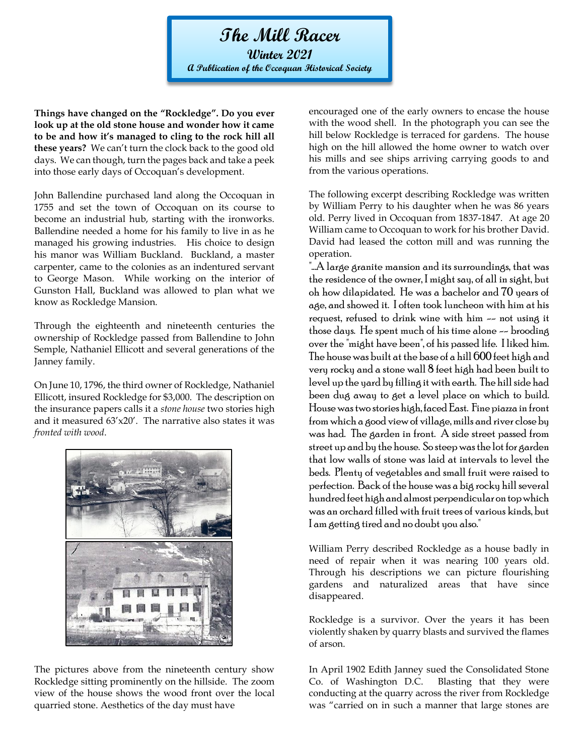**The Mill Racer Winter 2021 A Publication of the Occoquan Historical Society**

**Things have changed on the "Rockledge". Do you ever look up at the old stone house and wonder how it came to be and how it's managed to cling to the rock hill all these years?** We can't turn the clock back to the good old days. We can though, turn the pages back and take a peek into those early days of Occoquan's development.

John Ballendine purchased land along the Occoquan in 1755 and set the town of Occoquan on its course to become an industrial hub, starting with the ironworks. Ballendine needed a home for his family to live in as he managed his growing industries. His choice to design his manor was William Buckland. Buckland, a master carpenter, came to the colonies as an indentured servant to George Mason. While working on the interior of Gunston Hall, Buckland was allowed to plan what we know as Rockledge Mansion.

Through the eighteenth and nineteenth centuries the ownership of Rockledge passed from Ballendine to John Semple, Nathaniel Ellicott and several generations of the Janney family.

On June 10, 1796, the third owner of Rockledge, Nathaniel Ellicott, insured Rockledge for \$3,000. The description on the insurance papers calls it a *stone house* two stories high and it measured 63'x20'. The narrative also states it was *fronted with wood*.



The pictures above from the nineteenth century show Rockledge sitting prominently on the hillside. The zoom view of the house shows the wood front over the local quarried stone. Aesthetics of the day must have

encouraged one of the early owners to encase the house with the wood shell. In the photograph you can see the hill below Rockledge is terraced for gardens. The house high on the hill allowed the home owner to watch over his mills and see ships arriving carrying goods to and from the various operations.

The following excerpt describing Rockledge was written by William Perry to his daughter when he was 86 years old. Perry lived in Occoquan from 1837-1847. At age 20 William came to Occoquan to work for his brother David. David had leased the cotton mill and was running the operation.

"...A large granite mansion and its surroundings, that was  $\,$ the residence of the owner, I might say, of all in sight, but oh how dilapidated. He was a bachelor and 70 years of age, and showed it. I often took luncheon with him at his request, refused to drink wine with him -- not using it those days. He spent much of his time alone -- brooding over the "might have been", of his passed life. I liked him. The house was built at the base of a hill 600 feet high and very rocky and a stone wall 8 feet high had been built to level up the yard by filling it with earth. The hill side had been dug away to get a level place on which to build. House was two stories high, faced East. Fine piazza in front from which a good view of village, mills and river close by was had. The garden in front. A side street passed from street up and by the house. So steep was the lot for garden that low walls of stone was laid at intervals to level the beds. Plenty of vegetables and small fruit were raised to perfection. Back of the house was a big rocky hill several hundred feet high and almost perpendicular on top which was an orchard filled with fruit trees of various kinds, but I am getting tired and no doubt you also."

William Perry described Rockledge as a house badly in need of repair when it was nearing 100 years old. Through his descriptions we can picture flourishing gardens and naturalized areas that have since disappeared.

Rockledge is a survivor. Over the years it has been violently shaken by quarry blasts and survived the flames of arson.

In April 1902 Edith Janney sued the Consolidated Stone Co. of Washington D.C. Blasting that they were conducting at the quarry across the river from Rockledge was "carried on in such a manner that large stones are